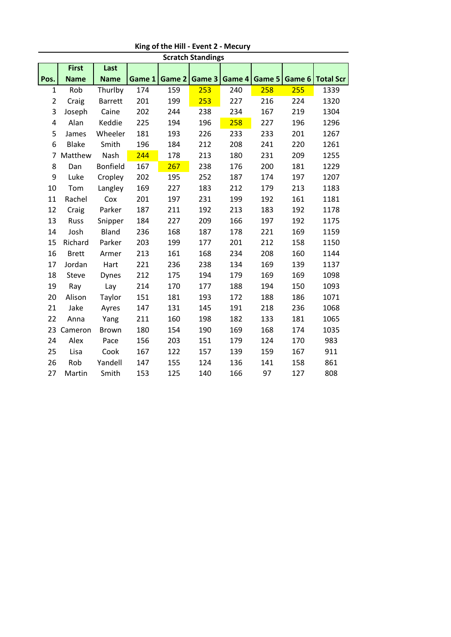| <b>Scratch Standings</b> |              |                 |        |        |        |        |        |        |                  |
|--------------------------|--------------|-----------------|--------|--------|--------|--------|--------|--------|------------------|
|                          | <b>First</b> | Last            |        |        |        |        |        |        |                  |
| Pos.                     | <b>Name</b>  | <b>Name</b>     | Game 1 | Game 2 | Game 3 | Game 4 | Game 5 | Game 6 | <b>Total Scr</b> |
| $\mathbf{1}$             | Rob          | Thurlby         | 174    | 159    | 253    | 240    | 258    | 255    | 1339             |
| 2                        | Craig        | <b>Barrett</b>  | 201    | 199    | 253    | 227    | 216    | 224    | 1320             |
| 3                        | Joseph       | Caine           | 202    | 244    | 238    | 234    | 167    | 219    | 1304             |
| 4                        | Alan         | Keddie          | 225    | 194    | 196    | 258    | 227    | 196    | 1296             |
| 5                        | James        | Wheeler         | 181    | 193    | 226    | 233    | 233    | 201    | 1267             |
| 6                        | <b>Blake</b> | Smith           | 196    | 184    | 212    | 208    | 241    | 220    | 1261             |
| 7                        | Matthew      | Nash            | 244    | 178    | 213    | 180    | 231    | 209    | 1255             |
| 8                        | Dan          | <b>Bonfield</b> | 167    | 267    | 238    | 176    | 200    | 181    | 1229             |
| 9                        | Luke         | Cropley         | 202    | 195    | 252    | 187    | 174    | 197    | 1207             |
| 10                       | Tom          | Langley         | 169    | 227    | 183    | 212    | 179    | 213    | 1183             |
| 11                       | Rachel       | Cox             | 201    | 197    | 231    | 199    | 192    | 161    | 1181             |
| 12                       | Craig        | Parker          | 187    | 211    | 192    | 213    | 183    | 192    | 1178             |
| 13                       | Russ         | Snipper         | 184    | 227    | 209    | 166    | 197    | 192    | 1175             |
| 14                       | Josh         | <b>Bland</b>    | 236    | 168    | 187    | 178    | 221    | 169    | 1159             |
| 15                       | Richard      | Parker          | 203    | 199    | 177    | 201    | 212    | 158    | 1150             |
| 16                       | <b>Brett</b> | Armer           | 213    | 161    | 168    | 234    | 208    | 160    | 1144             |
| 17                       | Jordan       | Hart            | 221    | 236    | 238    | 134    | 169    | 139    | 1137             |
| 18                       | <b>Steve</b> | <b>Dynes</b>    | 212    | 175    | 194    | 179    | 169    | 169    | 1098             |
| 19                       | Ray          | Lay             | 214    | 170    | 177    | 188    | 194    | 150    | 1093             |
| 20                       | Alison       | Taylor          | 151    | 181    | 193    | 172    | 188    | 186    | 1071             |
| 21                       | Jake         | Ayres           | 147    | 131    | 145    | 191    | 218    | 236    | 1068             |
| 22                       | Anna         | Yang            | 211    | 160    | 198    | 182    | 133    | 181    | 1065             |
| 23                       | Cameron      | <b>Brown</b>    | 180    | 154    | 190    | 169    | 168    | 174    | 1035             |
| 24                       | Alex         | Pace            | 156    | 203    | 151    | 179    | 124    | 170    | 983              |
| 25                       | Lisa         | Cook            | 167    | 122    | 157    | 139    | 159    | 167    | 911              |
| 26                       | Rob          | Yandell         | 147    | 155    | 124    | 136    | 141    | 158    | 861              |
| 27                       | Martin       | Smith           | 153    | 125    | 140    | 166    | 97     | 127    | 808              |

**King of the Hill - Event 2 - Mecury**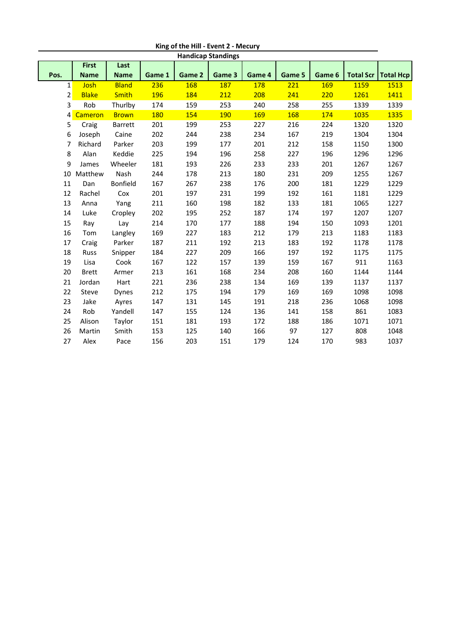| <b>Handicap Standings</b> |                |              |        |        |        |        |        |        |                  |                  |
|---------------------------|----------------|--------------|--------|--------|--------|--------|--------|--------|------------------|------------------|
|                           | <b>First</b>   | Last         |        |        |        |        |        |        |                  |                  |
| Pos.                      | <b>Name</b>    | <b>Name</b>  | Game 1 | Game 2 | Game 3 | Game 4 | Game 5 | Game 6 | <b>Total Scr</b> | <b>Total Hcp</b> |
| 1                         | Josh           | <b>Bland</b> | 236    | 168    | 187    | 178    | 221    | 169    | 1159             | 1513             |
| $\overline{2}$            | <b>Blake</b>   | <b>Smith</b> | 196    | 184    | 212    | 208    | 241    | 220    | 1261             | 1411             |
| 3                         | Rob            | Thurlby      | 174    | 159    | 253    | 240    | 258    | 255    | 1339             | 1339             |
| 4                         | <b>Cameron</b> | <b>Brown</b> | 180    | 154    | 190    | 169    | 168    | 174    | 1035             | 1335             |
| 5                         | Craig          | Barrett      | 201    | 199    | 253    | 227    | 216    | 224    | 1320             | 1320             |
| 6                         | Joseph         | Caine        | 202    | 244    | 238    | 234    | 167    | 219    | 1304             | 1304             |
| 7                         | Richard        | Parker       | 203    | 199    | 177    | 201    | 212    | 158    | 1150             | 1300             |
| 8                         | Alan           | Keddie       | 225    | 194    | 196    | 258    | 227    | 196    | 1296             | 1296             |
| 9                         | James          | Wheeler      | 181    | 193    | 226    | 233    | 233    | 201    | 1267             | 1267             |
| 10                        | Matthew        | Nash         | 244    | 178    | 213    | 180    | 231    | 209    | 1255             | 1267             |
| 11                        | Dan            | Bonfield     | 167    | 267    | 238    | 176    | 200    | 181    | 1229             | 1229             |
| 12                        | Rachel         | Cox          | 201    | 197    | 231    | 199    | 192    | 161    | 1181             | 1229             |
| 13                        | Anna           | Yang         | 211    | 160    | 198    | 182    | 133    | 181    | 1065             | 1227             |
| 14                        | Luke           | Cropley      | 202    | 195    | 252    | 187    | 174    | 197    | 1207             | 1207             |
| 15                        | Ray            | Lay          | 214    | 170    | 177    | 188    | 194    | 150    | 1093             | 1201             |
| 16                        | Tom            | Langley      | 169    | 227    | 183    | 212    | 179    | 213    | 1183             | 1183             |
| 17                        | Craig          | Parker       | 187    | 211    | 192    | 213    | 183    | 192    | 1178             | 1178             |
| 18                        | Russ           | Snipper      | 184    | 227    | 209    | 166    | 197    | 192    | 1175             | 1175             |
| 19                        | Lisa           | Cook         | 167    | 122    | 157    | 139    | 159    | 167    | 911              | 1163             |
| 20                        | <b>Brett</b>   | Armer        | 213    | 161    | 168    | 234    | 208    | 160    | 1144             | 1144             |
| 21                        | Jordan         | Hart         | 221    | 236    | 238    | 134    | 169    | 139    | 1137             | 1137             |
| 22                        | Steve          | Dynes        | 212    | 175    | 194    | 179    | 169    | 169    | 1098             | 1098             |
| 23                        | Jake           | Ayres        | 147    | 131    | 145    | 191    | 218    | 236    | 1068             | 1098             |
| 24                        | Rob            | Yandell      | 147    | 155    | 124    | 136    | 141    | 158    | 861              | 1083             |
| 25                        | Alison         | Taylor       | 151    | 181    | 193    | 172    | 188    | 186    | 1071             | 1071             |
| 26                        | Martin         | Smith        | 153    | 125    | 140    | 166    | 97     | 127    | 808              | 1048             |
| 27                        | Alex           | Pace         | 156    | 203    | 151    | 179    | 124    | 170    | 983              | 1037             |

**King of the Hill - Event 2 - Mecury**